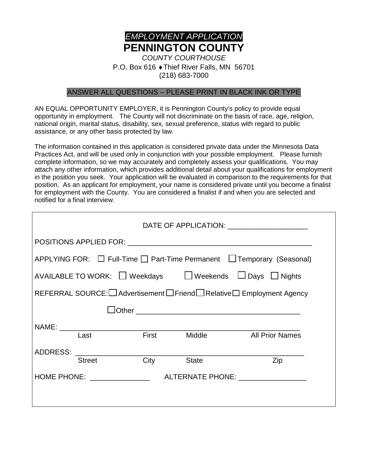

(218) 683-7000

#### ANSWER ALL QUESTIONS – PLEASE PRINT IN BLACK INK OR TYPE

AN EQUAL OPPORTUNITY EMPLOYER, it is Pennington County's policy to provide equal opportunity in employment. The County will not discriminate on the basis of race, age, religion, national origin, marital status, disability, sex, sexual preference, status with regard to public assistance, or any other basis protected by law.

The information contained in this application is considered private data under the Minnesota Data Practices Act, and will be used only in conjunction with your possible employment. Please furnish complete information, so we may accurately and completely assess your qualifications. You may attach any other information, which provides additional detail about your qualifications for employment in the position you seek. Your application will be evaluated in comparison to the requirements for that position. As an applicant for employment, your name is considered private until you become a finalist for employment with the County. You are considered a finalist if and when you are selected and notified for a final interview.

| DATE OF APPLICATION: _______________________                                  |      |                             |              |                                                                        |
|-------------------------------------------------------------------------------|------|-----------------------------|--------------|------------------------------------------------------------------------|
|                                                                               |      |                             |              |                                                                        |
|                                                                               |      |                             |              | APPLYING FOR: □ Full-Time □ Part-Time Permanent □ Temporary (Seasonal) |
| AVAILABLE TO WORK: $\Box$ Weekdays $\Box$ Weekends $\Box$ Days $\Box$ Nights  |      |                             |              |                                                                        |
| REFERRAL SOURCE:<br>I Advertisement  I Friend I Relative  I Employment Agency |      |                             |              |                                                                        |
|                                                                               |      |                             |              |                                                                        |
|                                                                               |      |                             |              |                                                                        |
|                                                                               | Last | <b>First</b> Middle         |              | <b>All Prior Names</b>                                                 |
|                                                                               |      | ADDRESS: <u>Street</u> City |              |                                                                        |
|                                                                               |      |                             | <b>State</b> | Zip                                                                    |
|                                                                               |      |                             |              |                                                                        |
|                                                                               |      |                             |              |                                                                        |
|                                                                               |      |                             |              |                                                                        |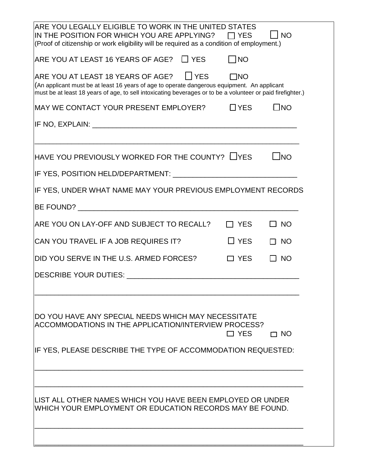| ARE YOU LEGALLY ELIGIBLE TO WORK IN THE UNITED STATES<br>IN THE POSITION FOR WHICH YOU ARE APPLYING? $\quad \Box$ YES<br>(Proof of citizenship or work eligibility will be required as a condition of employment.)                                    |            | $\overline{\phantom{a}}$ NO |
|-------------------------------------------------------------------------------------------------------------------------------------------------------------------------------------------------------------------------------------------------------|------------|-----------------------------|
| $\overline{\phantom{a}}$ ARE YOU AT LEAST 16 YEARS OF AGE? $\quad \Box$ YES                                                                                                                                                                           | $\Box$ NO  |                             |
| ARE YOU AT LEAST 18 YEARS OF AGE? FIXES<br>(An applicant must be at least 16 years of age to operate dangerous equipment. An applicant<br>must be at least 18 years of age, to sell intoxicating beverages or to be a volunteer or paid firefighter.) | $\Box$ NO  |                             |
| MAY WE CONTACT YOUR PRESENT EMPLOYER?                                                                                                                                                                                                                 | $\Box$ YES | $\square$ NO                |
|                                                                                                                                                                                                                                                       |            |                             |
| HAVE YOU PREVIOUSLY WORKED FOR THE COUNTY? $\Box$ YES                                                                                                                                                                                                 |            | $\sqcup$ NO                 |
| IF YES, POSITION HELD/DEPARTMENT: International and the control of the control of the control of the control o                                                                                                                                        |            |                             |
| IF YES, UNDER WHAT NAME MAY YOUR PREVIOUS EMPLOYMENT RECORDS                                                                                                                                                                                          |            |                             |
|                                                                                                                                                                                                                                                       |            |                             |
| ARE YOU ON LAY-OFF AND SUBJECT TO RECALL?                                                                                                                                                                                                             | $\Box$ YES | $\square$ NO                |
| CAN YOU TRAVEL IF A JOB REQUIRES IT?                                                                                                                                                                                                                  | $\Box$ YES | $\Box$ NO                   |
| DID YOU SERVE IN THE U.S. ARMED FORCES?                                                                                                                                                                                                               | $\Box$ YES | $\square$ NO                |
|                                                                                                                                                                                                                                                       |            |                             |
| IDO YOU HAVE ANY SPECIAL NEEDS WHICH MAY NECESSITATE<br>ACCOMMODATIONS IN THE APPLICATION/INTERVIEW PROCESS?                                                                                                                                          | $\Box$ YES | $\Box$ NO                   |
| IF YES, PLEASE DESCRIBE THE TYPE OF ACCOMMODATION REQUESTED:                                                                                                                                                                                          |            |                             |
|                                                                                                                                                                                                                                                       |            |                             |
| LIST ALL OTHER NAMES WHICH YOU HAVE BEEN EMPLOYED OR UNDER<br>WHICH YOUR EMPLOYMENT OR EDUCATION RECORDS MAY BE FOUND.                                                                                                                                |            |                             |
|                                                                                                                                                                                                                                                       |            |                             |
|                                                                                                                                                                                                                                                       |            |                             |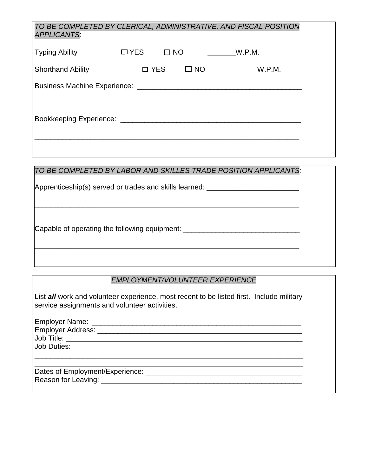| TO BE COMPLETED BY CLERICAL, ADMINISTRATIVE, AND FISCAL POSITION<br><b>APPLICANTS:</b> |            |           |           |        |  |
|----------------------------------------------------------------------------------------|------------|-----------|-----------|--------|--|
| <b>Typing Ability</b>                                                                  | $\Box$ YES | $\Box$ NO |           | W.P.M. |  |
| <b>Shorthand Ability</b>                                                               | □ YES      |           | $\Box$ NO | W.P.M. |  |
|                                                                                        |            |           |           |        |  |
|                                                                                        |            |           |           |        |  |
|                                                                                        |            |           |           |        |  |
|                                                                                        |            |           |           |        |  |
|                                                                                        |            |           |           |        |  |

## *TO BE COMPLETED BY LABOR AND SKILLES TRADE POSITION APPLICANTS:*

\_\_\_\_\_\_\_\_\_\_\_\_\_\_\_\_\_\_\_\_\_\_\_\_\_\_\_\_\_\_\_\_\_\_\_\_\_\_\_\_\_\_\_\_\_\_\_\_\_\_\_\_\_\_\_\_\_\_\_\_\_\_\_\_\_\_

\_\_\_\_\_\_\_\_\_\_\_\_\_\_\_\_\_\_\_\_\_\_\_\_\_\_\_\_\_\_\_\_\_\_\_\_\_\_\_\_\_\_\_\_\_\_\_\_\_\_\_\_\_\_\_\_\_\_\_\_\_\_\_\_\_\_

Apprenticeship(s) served or trades and skills learned: \_\_\_\_\_\_\_\_\_\_\_\_\_\_\_\_\_\_\_\_\_\_\_\_\_

Capable of operating the following equipment: \_\_\_\_\_\_\_\_\_\_\_\_\_\_\_\_\_\_\_\_\_\_\_\_\_\_\_\_\_\_\_\_\_\_

### *EMPLOYMENT/VOLUNTEER EXPERIENCE*

List *all* work and volunteer experience, most recent to be listed first. Include military service assignments and volunteer activities.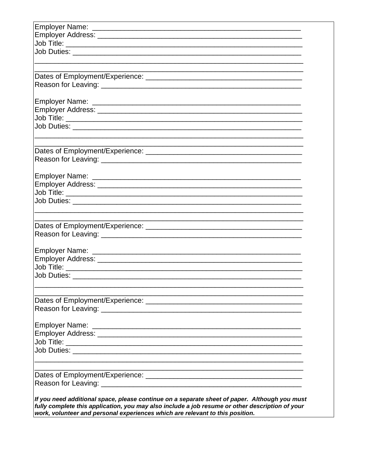| <u> 1989 - Johann Stoff, amerikansk politiker (d. 1989)</u> |
|-------------------------------------------------------------|
|                                                             |
|                                                             |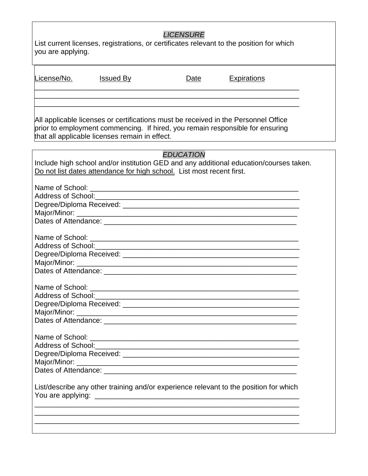| <b>LICENSURE</b><br>List current licenses, registrations, or certificates relevant to the position for which<br>you are applying. |                                                                                                                                                                                                                       |                  |                                                                                                                         |
|-----------------------------------------------------------------------------------------------------------------------------------|-----------------------------------------------------------------------------------------------------------------------------------------------------------------------------------------------------------------------|------------------|-------------------------------------------------------------------------------------------------------------------------|
| License/No.                                                                                                                       | <u>Issued By</u>                                                                                                                                                                                                      | Date             | <b>Expirations</b>                                                                                                      |
|                                                                                                                                   | All applicable licenses or certifications must be received in the Personnel Office<br>prior to employment commencing. If hired, you remain responsible for ensuring<br>that all applicable licenses remain in effect. |                  | <u> 1989 - Andrea State Barbara, amerikan per</u>                                                                       |
|                                                                                                                                   | Do not list dates attendance for high school. List most recent first.                                                                                                                                                 | <b>EDUCATION</b> | Include high school and/or institution GED and any additional education/courses taken.                                  |
|                                                                                                                                   |                                                                                                                                                                                                                       |                  |                                                                                                                         |
|                                                                                                                                   |                                                                                                                                                                                                                       |                  |                                                                                                                         |
| <b>Address of School:</b>                                                                                                         |                                                                                                                                                                                                                       |                  | <u> 1999 - Johann Harry Harry Harry Harry Harry Harry Harry Harry Harry Harry Harry Harry Harry Harry Harry Harry H</u> |
|                                                                                                                                   | List/describe any other training and/or experience relevant to the position for which                                                                                                                                 |                  |                                                                                                                         |
|                                                                                                                                   | <u> 1989 - Johann Stoff, amerikansk politiker (d. 1989)</u>                                                                                                                                                           |                  |                                                                                                                         |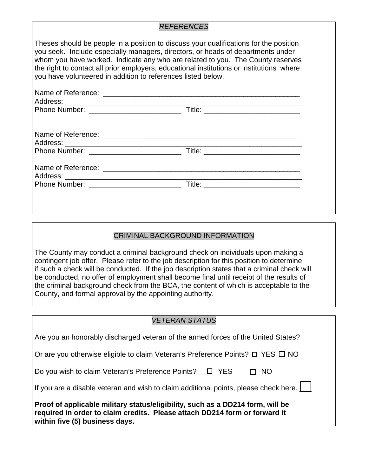#### *REFERENCES*

Theses should be people in a position to discuss your qualifications for the position you seek. Include especially managers, directors, or heads of departments under whom you have worked. Indicate any who are related to you. The County reserves the right to contact all prior employers, educational institutions or institutions where you have volunteered in addition to references listed below.

### CRIMINAL BACKGROUND INFORMATION

The County may conduct a criminal background check on individuals upon making a contingent job offer. Please refer to the job description for this position to determine if such a check will be conducted. If the job description states that a criminal check will be conducted, no offer of employment shall become final until receipt of the results of the criminal background check from the BCA, the content of which is acceptable to the County, and formal approval by the appointing authority.

| <b>VETERAN STATUS</b>                                                                                                                                                                          |  |  |  |
|------------------------------------------------------------------------------------------------------------------------------------------------------------------------------------------------|--|--|--|
|                                                                                                                                                                                                |  |  |  |
| Are you an honorably discharged veteran of the armed forces of the United States?                                                                                                              |  |  |  |
| Or are you otherwise eligible to claim Veteran's Preference Points? $\square$ YES $\square$ NO                                                                                                 |  |  |  |
| Do you wish to claim Veteran's Preference Points? $\Box$ YES<br>NO.                                                                                                                            |  |  |  |
| If you are a disable veteran and wish to claim additional points, please check here. $\vert \quad \vert$                                                                                       |  |  |  |
| Proof of applicable military status/eligibility, such as a DD214 form, will be<br>required in order to claim credits. Please attach DD214 form or forward it<br>within five (5) business days. |  |  |  |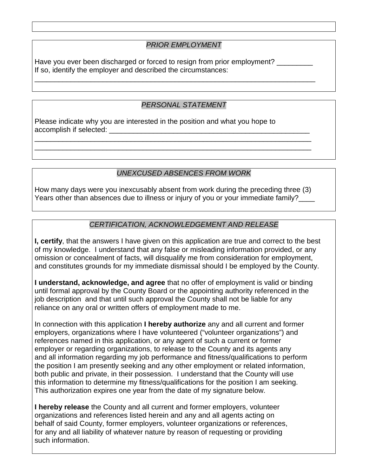### *PRIOR EMPLOYMENT*

Have you ever been discharged or forced to resign from prior employment? \_\_\_\_\_\_\_ If so, identify the employer and described the circumstances:

\_\_\_\_\_\_\_\_\_\_\_\_\_\_\_\_\_\_\_\_\_\_\_\_\_\_\_\_\_\_\_\_\_\_\_\_\_\_\_\_\_\_\_\_\_\_\_\_\_\_\_\_\_\_\_\_\_\_\_\_\_\_\_\_\_\_\_\_\_\_

### *PERSONAL STATEMENT*

Please indicate why you are interested in the position and what you hope to accomplish if selected:

### *UNEXCUSED ABSENCES FROM WORK*

How many days were you inexcusably absent from work during the preceding three (3) Years other than absences due to illness or injury of you or your immediate family?

\_\_\_\_\_\_\_\_\_\_\_\_\_\_\_\_\_\_\_\_\_\_\_\_\_\_\_\_\_\_\_\_\_\_\_\_\_\_\_\_\_\_\_\_\_\_\_\_\_\_\_\_\_\_\_\_\_\_\_\_\_\_\_\_\_\_\_\_\_ \_\_\_\_\_\_\_\_\_\_\_\_\_\_\_\_\_\_\_\_\_\_\_\_\_\_\_\_\_\_\_\_\_\_\_\_\_\_\_\_\_\_\_\_\_\_\_\_\_\_\_\_\_\_\_\_\_\_\_\_\_\_\_\_\_\_\_\_\_

### *CERTIFICATION, ACKNOWLEDGEMENT AND RELEASE*

**I, certify**, that the answers I have given on this application are true and correct to the best of my knowledge. I understand that any false or misleading information provided, or any omission or concealment of facts, will disqualify me from consideration for employment, and constitutes grounds for my immediate dismissal should I be employed by the County.

**I understand, acknowledge, and agree** that no offer of employment is valid or binding until formal approval by the County Board or the appointing authority referenced in the job description and that until such approval the County shall not be liable for any reliance on any oral or written offers of employment made to me.

In connection with this application **I hereby authorize** any and all current and former employers, organizations where I have volunteered ("volunteer organizations") and references named in this application, or any agent of such a current or former employer or regarding organizations, to release to the County and its agents any and all information regarding my job performance and fitness/qualifications to perform the position I am presently seeking and any other employment or related information, both public and private, in their possession. I understand that the County will use this information to determine my fitness/qualifications for the position I am seeking. This authorization expires one year from the date of my signature below.

**I hereby release** the County and all current and former employers, volunteer organizations and references listed herein and any and all agents acting on behalf of said County, former employers, volunteer organizations or references, for any and all liability of whatever nature by reason of requesting or providing such information.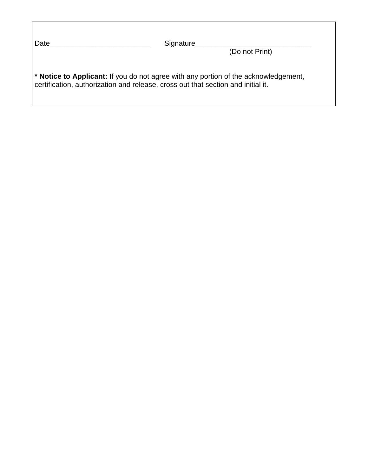| Date<br>Signature                                                                                                                                                       | (Do not Print) |
|-------------------------------------------------------------------------------------------------------------------------------------------------------------------------|----------------|
| * Notice to Applicant: If you do not agree with any portion of the acknowledgement,<br>certification, authorization and release, cross out that section and initial it. |                |

 $\overline{\phantom{a}}$